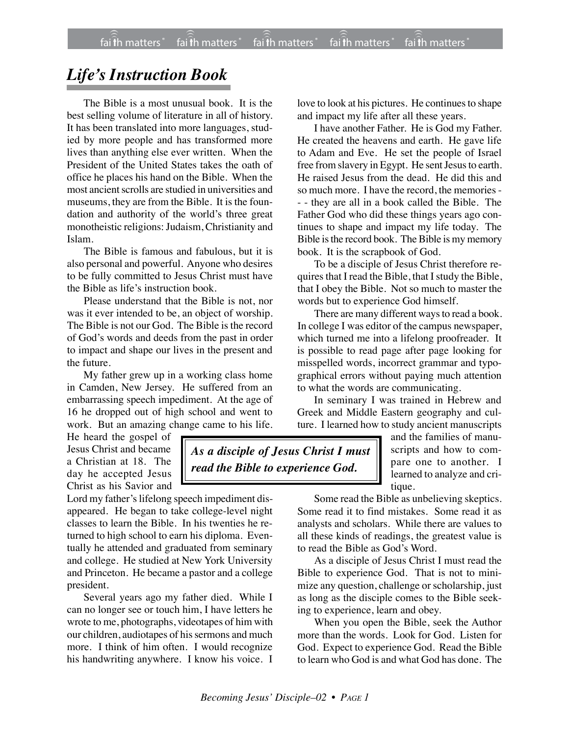## *Life's Instruction Book*

The Bible is a most unusual book. It is the best selling volume of literature in all of history. It has been translated into more languages, studied by more people and has transformed more lives than anything else ever written. When the President of the United States takes the oath of office he places his hand on the Bible. When the most ancient scrolls are studied in universities and museums, they are from the Bible. It is the foundation and authority of the world's three great monotheistic religions: Judaism, Christianity and Islam.

The Bible is famous and fabulous, but it is also personal and powerful. Anyone who desires to be fully committed to Jesus Christ must have the Bible as life's instruction book.

Please understand that the Bible is not, nor was it ever intended to be, an object of worship. The Bible is not our God. The Bible is the record of God's words and deeds from the past in order to impact and shape our lives in the present and the future.

My father grew up in a working class home in Camden, New Jersey. He suffered from an embarrassing speech impediment. At the age of 16 he dropped out of high school and went to work. But an amazing change came to his life.

He heard the gospel of Jesus Christ and became a Christian at 18. The day he accepted Jesus Christ as his Savior and

Lord my father's lifelong speech impediment disappeared. He began to take college-level night classes to learn the Bible. In his twenties he returned to high school to earn his diploma. Eventually he attended and graduated from seminary and college. He studied at New York University and Princeton. He became a pastor and a college president.

Several years ago my father died. While I can no longer see or touch him, I have letters he wrote to me, photographs, videotapes of him with our children, audiotapes of his sermons and much more. I think of him often. I would recognize his handwriting anywhere. I know his voice. I love to look at his pictures. He continues to shape and impact my life after all these years.

I have another Father. He is God my Father. He created the heavens and earth. He gave life to Adam and Eve. He set the people of Israel free from slavery in Egypt. He sent Jesus to earth. He raised Jesus from the dead. He did this and so much more. I have the record, the memories - - - they are all in a book called the Bible. The Father God who did these things years ago continues to shape and impact my life today. The Bible is the record book. The Bible is my memory book. It is the scrapbook of God.

To be a disciple of Jesus Christ therefore requires that I read the Bible, that I study the Bible, that I obey the Bible. Not so much to master the words but to experience God himself.

There are many different ways to read a book. In college I was editor of the campus newspaper, which turned me into a lifelong proofreader. It is possible to read page after page looking for misspelled words, incorrect grammar and typographical errors without paying much attention to what the words are communicating.

In seminary I was trained in Hebrew and Greek and Middle Eastern geography and culture. I learned how to study ancient manuscripts

*As a disciple of Jesus Christ I must* and the families of manuscripts and how to compare one to another. I learned to analyze and critique.

> Some read the Bible as unbelieving skeptics. Some read it to find mistakes. Some read it as analysts and scholars. While there are values to all these kinds of readings, the greatest value is to read the Bible as God's Word.

> As a disciple of Jesus Christ I must read the Bible to experience God. That is not to minimize any question, challenge or scholarship, just as long as the disciple comes to the Bible seeking to experience, learn and obey.

> When you open the Bible, seek the Author more than the words. Look for God. Listen for God. Expect to experience God. Read the Bible to learn who God is and what God has done. The

*read the Bible to experience God.*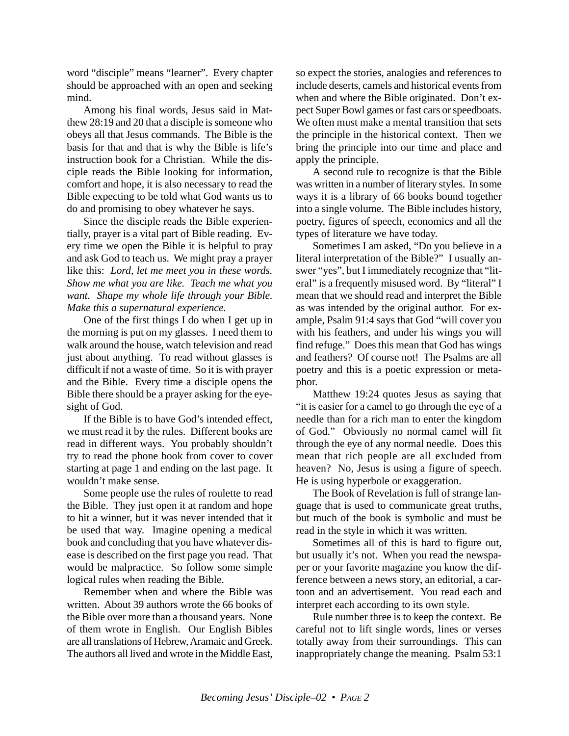word "disciple" means "learner". Every chapter should be approached with an open and seeking mind.

Among his final words, Jesus said in Matthew 28:19 and 20 that a disciple is someone who obeys all that Jesus commands. The Bible is the basis for that and that is why the Bible is life's instruction book for a Christian. While the disciple reads the Bible looking for information, comfort and hope, it is also necessary to read the Bible expecting to be told what God wants us to do and promising to obey whatever he says.

Since the disciple reads the Bible experientially, prayer is a vital part of Bible reading. Every time we open the Bible it is helpful to pray and ask God to teach us. We might pray a prayer like this: *Lord, let me meet you in these words. Show me what you are like. Teach me what you want. Shape my whole life through your Bible. Make this a supernatural experience.*

One of the first things I do when I get up in the morning is put on my glasses. I need them to walk around the house, watch television and read just about anything. To read without glasses is difficult if not a waste of time. So it is with prayer and the Bible. Every time a disciple opens the Bible there should be a prayer asking for the eyesight of God.

If the Bible is to have God's intended effect, we must read it by the rules. Different books are read in different ways. You probably shouldn't try to read the phone book from cover to cover starting at page 1 and ending on the last page. It wouldn't make sense.

Some people use the rules of roulette to read the Bible. They just open it at random and hope to hit a winner, but it was never intended that it be used that way. Imagine opening a medical book and concluding that you have whatever disease is described on the first page you read. That would be malpractice. So follow some simple logical rules when reading the Bible.

Remember when and where the Bible was written. About 39 authors wrote the 66 books of the Bible over more than a thousand years. None of them wrote in English. Our English Bibles are all translations of Hebrew, Aramaic and Greek. The authors all lived and wrote in the Middle East,

so expect the stories, analogies and references to include deserts, camels and historical events from when and where the Bible originated. Don't expect Super Bowl games or fast cars or speedboats. We often must make a mental transition that sets the principle in the historical context. Then we bring the principle into our time and place and apply the principle.

A second rule to recognize is that the Bible was written in a number of literary styles. In some ways it is a library of 66 books bound together into a single volume. The Bible includes history, poetry, figures of speech, economics and all the types of literature we have today.

Sometimes I am asked, "Do you believe in a literal interpretation of the Bible?" I usually answer "yes", but I immediately recognize that "literal" is a frequently misused word. By "literal" I mean that we should read and interpret the Bible as was intended by the original author. For example, Psalm 91:4 says that God "will cover you with his feathers, and under his wings you will find refuge." Does this mean that God has wings and feathers? Of course not! The Psalms are all poetry and this is a poetic expression or metaphor.

Matthew 19:24 quotes Jesus as saying that "it is easier for a camel to go through the eye of a needle than for a rich man to enter the kingdom of God." Obviously no normal camel will fit through the eye of any normal needle. Does this mean that rich people are all excluded from heaven? No, Jesus is using a figure of speech. He is using hyperbole or exaggeration.

The Book of Revelation is full of strange language that is used to communicate great truths, but much of the book is symbolic and must be read in the style in which it was written.

Sometimes all of this is hard to figure out, but usually it's not. When you read the newspaper or your favorite magazine you know the difference between a news story, an editorial, a cartoon and an advertisement. You read each and interpret each according to its own style.

Rule number three is to keep the context. Be careful not to lift single words, lines or verses totally away from their surroundings. This can inappropriately change the meaning. Psalm 53:1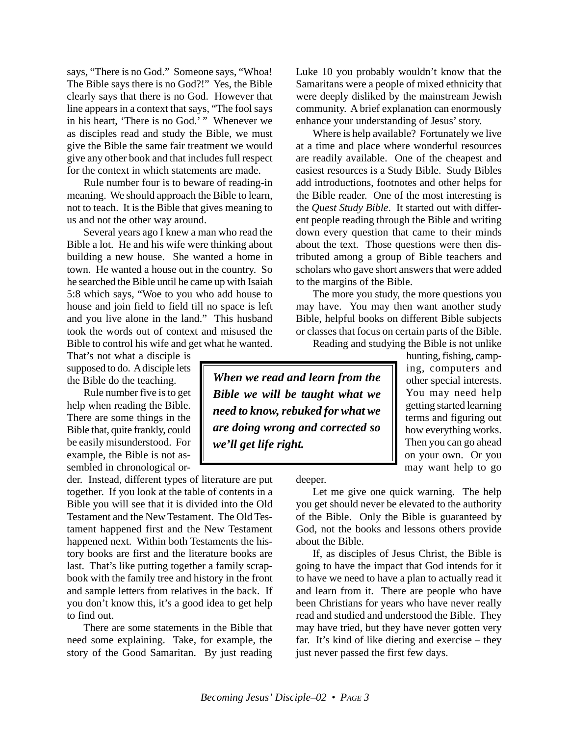says, "There is no God." Someone says, "Whoa! The Bible says there is no God?!" Yes, the Bible clearly says that there is no God. However that line appears in a context that says, "The fool says in his heart, 'There is no God.' " Whenever we as disciples read and study the Bible, we must give the Bible the same fair treatment we would give any other book and that includes full respect for the context in which statements are made.

Rule number four is to beware of reading-in meaning. We should approach the Bible to learn, not to teach. It is the Bible that gives meaning to us and not the other way around.

Several years ago I knew a man who read the Bible a lot. He and his wife were thinking about building a new house. She wanted a home in town. He wanted a house out in the country. So he searched the Bible until he came up with Isaiah 5:8 which says, "Woe to you who add house to house and join field to field till no space is left and you live alone in the land." This husband took the words out of context and misused the Bible to control his wife and get what he wanted.

That's not what a disciple is supposed to do. A disciple lets the Bible do the teaching.

Rule number five is to get help when reading the Bible. There are some things in the Bible that, quite frankly, could be easily misunderstood. For example, the Bible is not assembled in chronological or-

der. Instead, different types of literature are put together. If you look at the table of contents in a Bible you will see that it is divided into the Old Testament and the New Testament. The Old Testament happened first and the New Testament happened next. Within both Testaments the history books are first and the literature books are last. That's like putting together a family scrapbook with the family tree and history in the front and sample letters from relatives in the back. If you don't know this, it's a good idea to get help to find out.

There are some statements in the Bible that need some explaining. Take, for example, the story of the Good Samaritan. By just reading Luke 10 you probably wouldn't know that the Samaritans were a people of mixed ethnicity that were deeply disliked by the mainstream Jewish community. A brief explanation can enormously enhance your understanding of Jesus' story.

Where is help available? Fortunately we live at a time and place where wonderful resources are readily available. One of the cheapest and easiest resources is a Study Bible. Study Bibles add introductions, footnotes and other helps for the Bible reader. One of the most interesting is the *Quest Study Bible*. It started out with different people reading through the Bible and writing down every question that came to their minds about the text. Those questions were then distributed among a group of Bible teachers and scholars who gave short answers that were added to the margins of the Bible.

The more you study, the more questions you may have. You may then want another study Bible, helpful books on different Bible subjects or classes that focus on certain parts of the Bible.

Reading and studying the Bible is not unlike

*When we read and learn from the Bible we will be taught what we need to know, rebuked for what we are doing wrong and corrected so we'll get life right.*

hunting, fishing, camping, computers and other special interests. You may need help getting started learning terms and figuring out how everything works. Then you can go ahead on your own. Or you may want help to go

deeper.

Let me give one quick warning. The help you get should never be elevated to the authority of the Bible. Only the Bible is guaranteed by God, not the books and lessons others provide about the Bible.

If, as disciples of Jesus Christ, the Bible is going to have the impact that God intends for it to have we need to have a plan to actually read it and learn from it. There are people who have been Christians for years who have never really read and studied and understood the Bible. They may have tried, but they have never gotten very far. It's kind of like dieting and exercise – they just never passed the first few days.